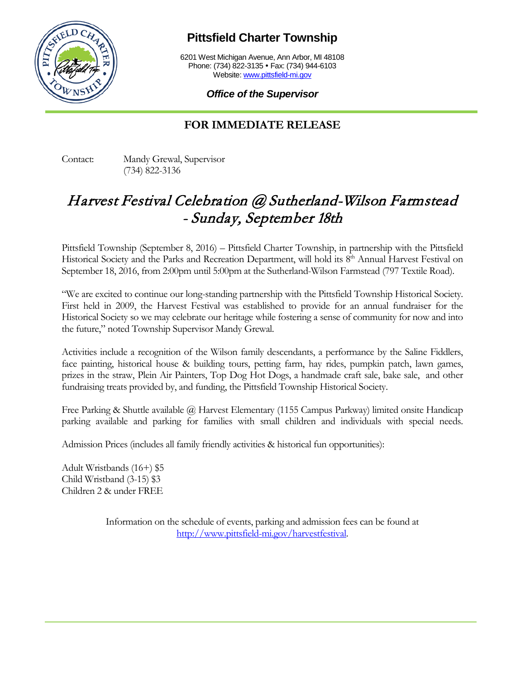

**Pittsfield Charter Township**

6201 West Michigan Avenue, Ann Arbor, MI 48108 Phone: (734) 822-3135 • Fax: (734) 944-6103 Website: [www.pittsfield-mi.gov](http://www.pittsfield-mi.gov/)

*Office of the Supervisor*

## **FOR IMMEDIATE RELEASE**

Contact: Mandy Grewal, Supervisor (734) 822-3136

## Harvest Festival Celebration @ Sutherland-Wilson Farmstead - Sunday, September 18th

Pittsfield Township (September 8, 2016) – Pittsfield Charter Township, in partnership with the Pittsfield Historical Society and the Parks and Recreation Department, will hold its 8<sup>th</sup> Annual Harvest Festival on September 18, 2016, from 2:00pm until 5:00pm at the Sutherland-Wilson Farmstead (797 Textile Road).

"We are excited to continue our long-standing partnership with the Pittsfield Township Historical Society. First held in 2009, the Harvest Festival was established to provide for an annual fundraiser for the Historical Society so we may celebrate our heritage while fostering a sense of community for now and into the future," noted Township Supervisor Mandy Grewal.

Activities include a recognition of the Wilson family descendants, a performance by the Saline Fiddlers, face painting, historical house & building tours, petting farm, hay rides, pumpkin patch, lawn games, prizes in the straw, Plein Air Painters, Top Dog Hot Dogs, a handmade craft sale, bake sale, and other fundraising treats provided by, and funding, the Pittsfield Township Historical Society.

Free Parking & Shuttle available @ Harvest Elementary (1155 Campus Parkway) limited onsite Handicap parking available and parking for families with small children and individuals with special needs.

Admission Prices (includes all family friendly activities & historical fun opportunities):

Adult Wristbands (16+) \$5 Child Wristband (3-15) \$3 Children 2 & under FREE

> Information on the schedule of events, parking and admission fees can be found at [http://www.pittsfield-mi.gov/harvestfestival.](http://www.pittsfield-mi.gov/harvestfestival)